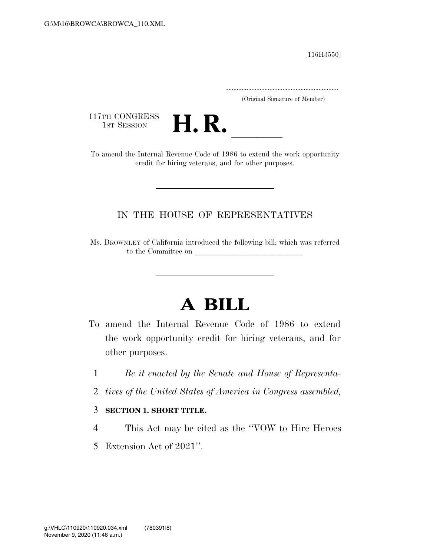[116H3550]

.....................................................................

(Original Signature of Member)

117TH CONGRESS<br>1st Session



117TH CONGRESS<br>1st Session<br>To amend the Internal Revenue Code of 1986 to extend the work opportunity credit for hiring veterans, and for other purposes.

## IN THE HOUSE OF REPRESENTATIVES

Ms. BROWNLEY of California introduced the following bill; which was referred to the Committee on

## **A BILL**

- To amend the Internal Revenue Code of 1986 to extend the work opportunity credit for hiring veterans, and for other purposes.
	- 1 *Be it enacted by the Senate and House of Representa-*
	- 2 *tives of the United States of America in Congress assembled,*

## 3 **SECTION 1. SHORT TITLE.**

- 4 This Act may be cited as the ''VOW to Hire Heroes
- 5 Extension Act of 2021''.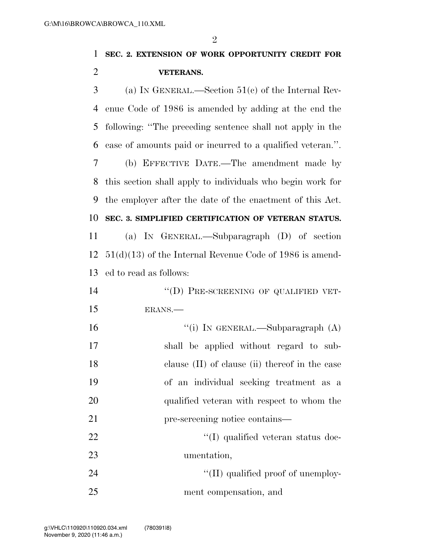$\mathfrak{D}$ 

# **SEC. 2. EXTENSION OF WORK OPPORTUNITY CREDIT FOR VETERANS.**  (a) IN GENERAL.—Section 51(c) of the Internal Rev- enue Code of 1986 is amended by adding at the end the following: ''The preceding sentence shall not apply in the case of amounts paid or incurred to a qualified veteran.''. (b) EFFECTIVE DATE.—The amendment made by this section shall apply to individuals who begin work for the employer after the date of the enactment of this Act. **SEC. 3. SIMPLIFIED CERTIFICATION OF VETERAN STATUS.**  (a) IN GENERAL.—Subparagraph (D) of section 51(d)(13) of the Internal Revenue Code of 1986 is amend- ed to read as follows: 14 "(D) PRE-SCREENING OF QUALIFIED VET- ERANS.— 16 "(i) IN GENERAL.—Subparagraph (A) shall be applied without regard to sub- clause (II) of clause (ii) thereof in the case of an individual seeking treatment as a qualified veteran with respect to whom the pre-screening notice contains—

22 ''(I) qualified veteran status doc- umentation, 24  $\frac{1}{2}$  (II) qualified proof of unemploy-

## ment compensation, and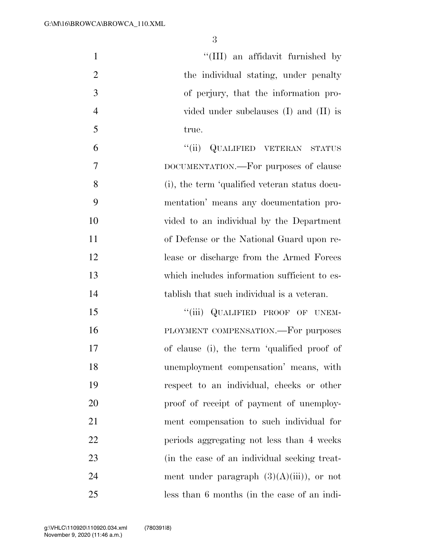| $\mathbf{1}$   | "(III) an affidavit furnished by              |
|----------------|-----------------------------------------------|
| $\overline{2}$ | the individual stating, under penalty         |
| 3              | of perjury, that the information pro-         |
| $\overline{4}$ | vided under subclauses (I) and (II) is        |
| 5              | true.                                         |
| 6              | QUALIFIED VETERAN STATUS<br>``(ii)            |
| $\overline{7}$ | DOCUMENTATION.—For purposes of clause         |
| 8              | (i), the term 'qualified veteran status docu- |
| 9              | mentation' means any documentation pro-       |
| 10             | vided to an individual by the Department      |
| 11             | of Defense or the National Guard upon re-     |
| 12             | lease or discharge from the Armed Forces      |
| 13             | which includes information sufficient to es-  |
| 14             | tablish that such individual is a veteran.    |
| 15             | "(iii) QUALIFIED PROOF OF UNEM-               |
| 16             | PLOYMENT COMPENSATION. For purposes           |
| 17             | of clause (i), the term 'qualified proof of   |
| 18             | unemployment compensation' means, with        |
| 19             | respect to an individual, checks or other     |
| 20             | proof of receipt of payment of unemploy-      |
| 21             | ment compensation to such individual for      |
| 22             | periods aggregating not less than 4 weeks     |
| 23             | (in the case of an individual seeking treat-  |
| 24             | ment under paragraph $(3)(A)(iii)$ , or not   |
| 25             | less than 6 months (in the case of an indi-   |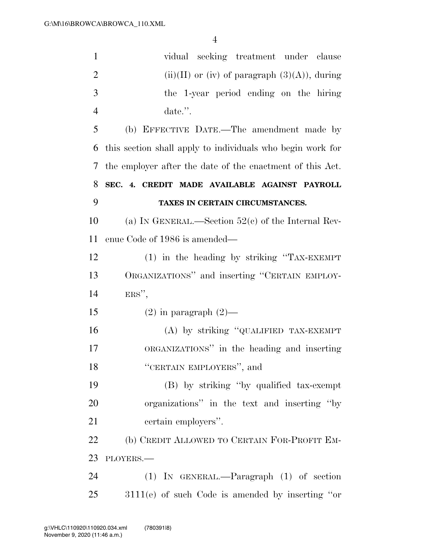| $\mathbf{1}$   | vidual seeking treatment under clause                      |
|----------------|------------------------------------------------------------|
| $\overline{2}$ | $(ii)(II)$ or (iv) of paragraph $(3)(A)$ , during          |
| 3              | the 1-year period ending on the hiring                     |
| $\overline{4}$ | date.".                                                    |
| 5              | (b) EFFECTIVE DATE.—The amendment made by                  |
| 6              | this section shall apply to individuals who begin work for |
| 7              | the employer after the date of the enactment of this Act.  |
| 8              | SEC. 4. CREDIT MADE AVAILABLE AGAINST PAYROLL              |
| 9              | TAXES IN CERTAIN CIRCUMSTANCES.                            |
| 10             | (a) IN GENERAL.—Section $52(c)$ of the Internal Rev-       |
| 11             | enue Code of 1986 is amended—                              |
| 12             | (1) in the heading by striking "TAX-EXEMPT                 |
| 13             | ORGANIZATIONS" and inserting "CERTAIN EMPLOY-              |
| 14             | $ERS''$ ,                                                  |
| 15             | $(2)$ in paragraph $(2)$ —                                 |
| 16             | (A) by striking "QUALIFIED TAX-EXEMPT                      |
| 17             | ORGANIZATIONS" in the heading and inserting                |
| 18             | "CERTAIN EMPLOYERS", and                                   |
| 19             | (B) by striking "by qualified tax-exempt                   |
| 20             | organizations" in the text and inserting "by               |
| 21             | certain employers".                                        |
| 22             | (b) CREDIT ALLOWED TO CERTAIN FOR-PROFIT EM-               |
| 23             | PLOYERS.                                                   |
| 24             | $(1)$ IN GENERAL.—Paragraph $(1)$ of section               |
| 25             | $3111(e)$ of such Code is amended by inserting "or         |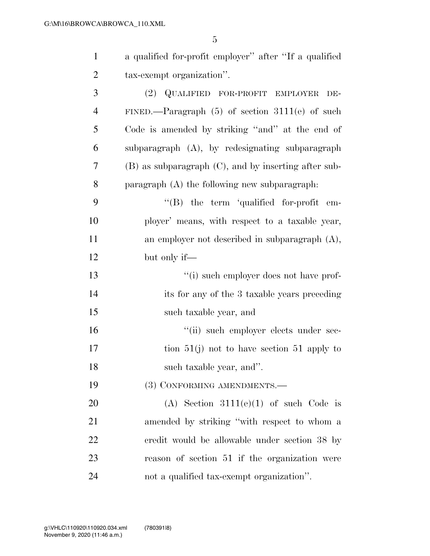| $\mathbf{1}$   | a qualified for-profit employer" after "If a qualified |
|----------------|--------------------------------------------------------|
| $\overline{2}$ | tax-exempt organization".                              |
| 3              | (2) QUALIFIED FOR-PROFIT EMPLOYER<br>DE-               |
| 4              | FINED.—Paragraph $(5)$ of section 3111(e) of such      |
| 5              | Code is amended by striking "and" at the end of        |
| 6              | subparagraph (A), by redesignating subparagraph        |
| 7              | (B) as subparagraph (C), and by inserting after sub-   |
| 8              | paragraph $(A)$ the following new subparagraph:        |
| 9              | $\lq\lq (B)$ the term 'qualified for-profit em-        |
| 10             | ployer' means, with respect to a taxable year,         |
| 11             | an employer not described in subparagraph $(A)$ ,      |
| 12             | but only if—                                           |
| 13             | "(i) such employer does not have prof-                 |
| 14             | its for any of the 3 taxable years preceding           |
| 15             | such taxable year, and                                 |
| 16             | "(ii) such employer elects under sec-                  |
| 17             | tion $51(j)$ not to have section $51$ apply to         |
| 18             | such taxable year, and".                               |
| 19             | (3) CONFORMING AMENDMENTS.-                            |
| 20             | (A) Section $3111(e)(1)$ of such Code is               |
| 21             | amended by striking "with respect to whom a            |
| 22             | credit would be allowable under section 38 by          |
| 23             | reason of section 51 if the organization were          |
| 24             | not a qualified tax-exempt organization".              |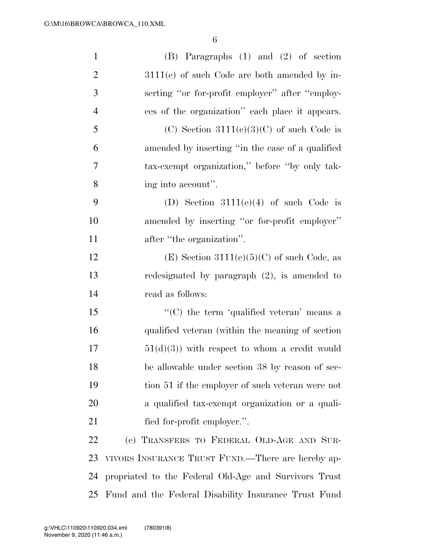| $\mathbf{1}$   | $(B)$ Paragraphs $(1)$ and $(2)$ of section           |
|----------------|-------------------------------------------------------|
| $\overline{2}$ | $3111(e)$ of such Code are both amended by in-        |
| 3              | serting "or for-profit employer" after "employ-       |
| $\overline{4}$ | ees of the organization" each place it appears.       |
| 5              | (C) Section $3111(e)(3)(C)$ of such Code is           |
| 6              | amended by inserting "in the case of a qualified"     |
| 7              | tax-exempt organization," before "by only tak-        |
| 8              | ing into account".                                    |
| 9              | (D) Section $3111(e)(4)$ of such Code is              |
| 10             | amended by inserting "or for-profit employer"         |
| 11             | after "the organization".                             |
| 12             | (E) Section $3111(e)(5)(C)$ of such Code, as          |
| 13             | redesignated by paragraph $(2)$ , is amended to       |
| 14             | read as follows:                                      |
| 15             | "(C) the term 'qualified veteran' means a             |
| 16             | qualified veteran (within the meaning of section)     |
| 17             | $51(d)(3)$ with respect to whom a credit would        |
| 18             | be allowable under section 38 by reason of sec-       |
| 19             | tion 51 if the employer of such veteran were not      |
| 20             | a qualified tax-exempt organization or a quali-       |
| 21             | fied for-profit employer.".                           |
| 22             | (c) TRANSFERS TO FEDERAL OLD-AGE AND SUR-             |
| 23             | VIVORS INSURANCE TRUST FUND.—There are hereby ap-     |
| 24             | propriated to the Federal Old-Age and Survivors Trust |
| 25             | Fund and the Federal Disability Insurance Trust Fund  |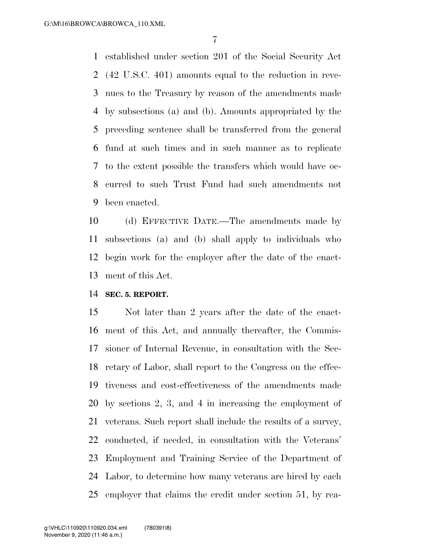established under section 201 of the Social Security Act (42 U.S.C. 401) amounts equal to the reduction in reve- nues to the Treasury by reason of the amendments made by subsections (a) and (b). Amounts appropriated by the preceding sentence shall be transferred from the general fund at such times and in such manner as to replicate to the extent possible the transfers which would have oc- curred to such Trust Fund had such amendments not been enacted.

 (d) EFFECTIVE DATE.—The amendments made by subsections (a) and (b) shall apply to individuals who begin work for the employer after the date of the enact-ment of this Act.

#### **SEC. 5. REPORT.**

 Not later than 2 years after the date of the enact- ment of this Act, and annually thereafter, the Commis- sioner of Internal Revenue, in consultation with the Sec- retary of Labor, shall report to the Congress on the effec- tiveness and cost-effectiveness of the amendments made by sections 2, 3, and 4 in increasing the employment of veterans. Such report shall include the results of a survey, conducted, if needed, in consultation with the Veterans' Employment and Training Service of the Department of Labor, to determine how many veterans are hired by each employer that claims the credit under section 51, by rea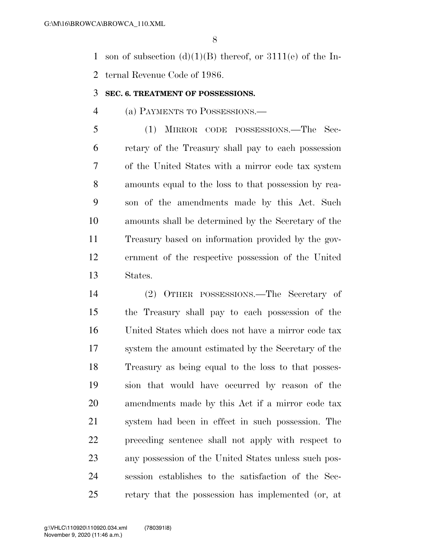1 son of subsection  $(d)(1)(B)$  thereof, or  $3111(e)$  of the In-ternal Revenue Code of 1986.

#### **SEC. 6. TREATMENT OF POSSESSIONS.**

### (a) PAYMENTS TO POSSESSIONS.—

 (1) MIRROR CODE POSSESSIONS.—The Sec- retary of the Treasury shall pay to each possession of the United States with a mirror code tax system amounts equal to the loss to that possession by rea- son of the amendments made by this Act. Such amounts shall be determined by the Secretary of the Treasury based on information provided by the gov- ernment of the respective possession of the United States.

 (2) OTHER POSSESSIONS.—The Secretary of the Treasury shall pay to each possession of the United States which does not have a mirror code tax system the amount estimated by the Secretary of the Treasury as being equal to the loss to that posses- sion that would have occurred by reason of the amendments made by this Act if a mirror code tax system had been in effect in such possession. The preceding sentence shall not apply with respect to any possession of the United States unless such pos- session establishes to the satisfaction of the Sec-retary that the possession has implemented (or, at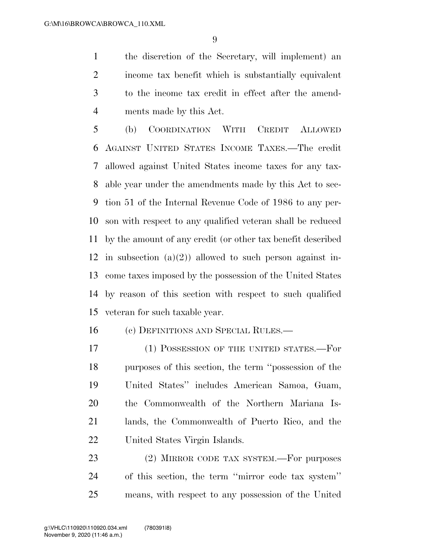the discretion of the Secretary, will implement) an income tax benefit which is substantially equivalent to the income tax credit in effect after the amend-ments made by this Act.

 (b) COORDINATION WITH CREDIT ALLOWED AGAINST UNITED STATES INCOME TAXES.—The credit allowed against United States income taxes for any tax- able year under the amendments made by this Act to sec- tion 51 of the Internal Revenue Code of 1986 to any per- son with respect to any qualified veteran shall be reduced by the amount of any credit (or other tax benefit described 12 in subsection  $(a)(2)$  allowed to such person against in- come taxes imposed by the possession of the United States by reason of this section with respect to such qualified veteran for such taxable year.

(c) DEFINITIONS AND SPECIAL RULES.—

17 (1) POSSESSION OF THE UNITED STATES.—For purposes of this section, the term ''possession of the United States'' includes American Samoa, Guam, the Commonwealth of the Northern Mariana Is- lands, the Commonwealth of Puerto Rico, and the United States Virgin Islands.

23 (2) MIRROR CODE TAX SYSTEM.—For purposes of this section, the term ''mirror code tax system'' means, with respect to any possession of the United